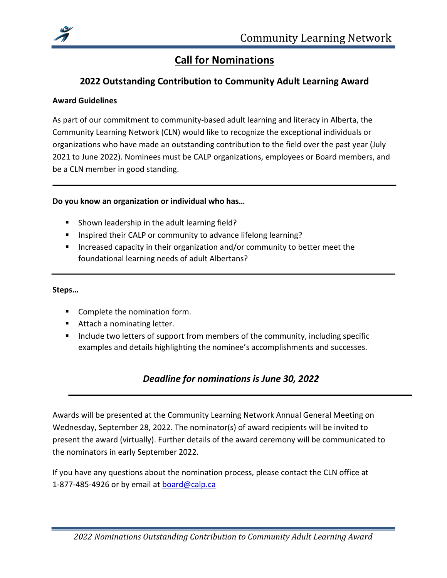

# Call for Nominations

## 2022 Outstanding Contribution to Community Adult Learning Award

### Award Guidelines

As part of our commitment to community-based adult learning and literacy in Alberta, the Community Learning Network (CLN) would like to recognize the exceptional individuals or organizations who have made an outstanding contribution to the field over the past year (July 2021 to June 2022). Nominees must be CALP organizations, employees or Board members, and be a CLN member in good standing.

### Do you know an organization or individual who has…

- **Shown leadership in the adult learning field?**
- Inspired their CALP or community to advance lifelong learning?
- **Increased capacity in their organization and/or community to better meet the** foundational learning needs of adult Albertans?

### Steps…

- **Complete the nomination form.**
- **Attach a nominating letter.**
- Include two letters of support from members of the community, including specific examples and details highlighting the nominee's accomplishments and successes.

## Deadline for nominations is June 30, 2022

Awards will be presented at the Community Learning Network Annual General Meeting on Wednesday, September 28, 2022. The nominator(s) of award recipients will be invited to present the award (virtually). Further details of the award ceremony will be communicated to the nominators in early September 2022.

If you have any questions about the nomination process, please contact the CLN office at 1-877-485-4926 or by email at **board@calp.ca**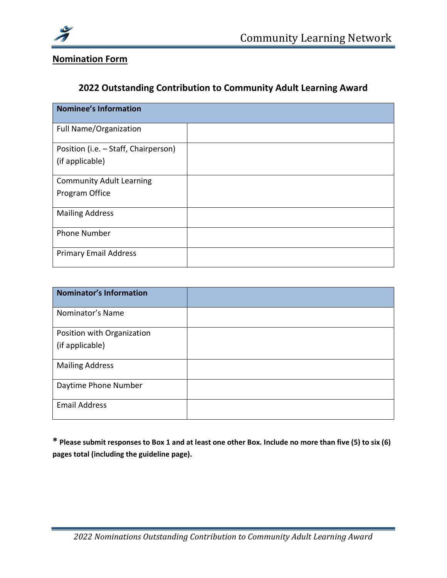

# Nomination Form

## 2022 Outstanding Contribution to Community Adult Learning Award

| <b>Nominee's Information</b>         |  |
|--------------------------------------|--|
| Full Name/Organization               |  |
| Position (i.e. - Staff, Chairperson) |  |
| (if applicable)                      |  |
| <b>Community Adult Learning</b>      |  |
| Program Office                       |  |
| <b>Mailing Address</b>               |  |
| <b>Phone Number</b>                  |  |
| <b>Primary Email Address</b>         |  |

| <b>Nominator's Information</b> |  |
|--------------------------------|--|
| Nominator's Name               |  |
| Position with Organization     |  |
| (if applicable)                |  |
| <b>Mailing Address</b>         |  |
| Daytime Phone Number           |  |
| <b>Email Address</b>           |  |

\* Please submit responses to Box 1 and at least one other Box. Include no more than five (5) to six (6) pages total (including the guideline page).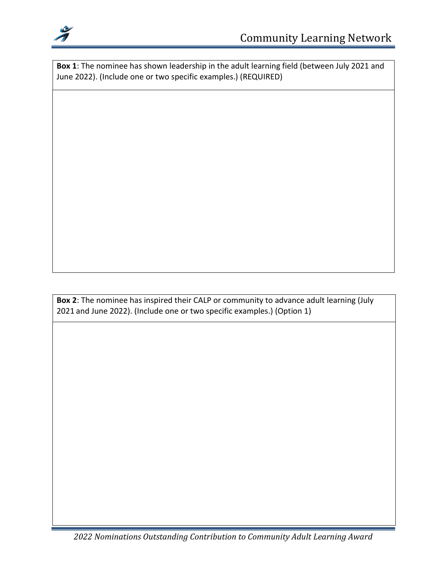

Box 1: The nominee has shown leadership in the adult learning field (between July 2021 and June 2022). (Include one or two specific examples.) (REQUIRED)

Box 2: The nominee has inspired their CALP or community to advance adult learning (July 2021 and June 2022). (Include one or two specific examples.) (Option 1)